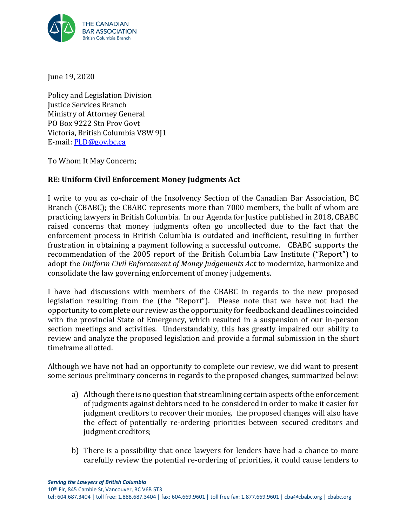

June 19, 2020

Policy and Legislation Division Justice Services Branch Ministry of Attorney General PO Box 9222 Stn Prov Govt Victoria, British Columbia V8W 9J1 E-mail: [PLD@gov.bc.ca](mailto:PLD@gov.bc.ca)

To Whom It May Concern;

## **RE: Uniform Civil Enforcement Money Judgments Act**

I write to you as co-chair of the Insolvency Section of the Canadian Bar Association, BC Branch (CBABC); the CBABC represents more than 7000 members, the bulk of whom are practicing lawyers in British Columbia. In our Agenda for Justice published in 2018, CBABC raised concerns that money judgments often go uncollected due to the fact that the enforcement process in British Columbia is outdated and inefficient, resulting in further frustration in obtaining a payment following a successful outcome. CBABC supports the recommendation of the 2005 report of the British Columbia Law Institute ("Report") to adopt the *Uniform Civil Enforcement of Money Judgements Act* to modernize, harmonize and consolidate the law governing enforcement of money judgements.

I have had discussions with members of the CBABC in regards to the new proposed legislation resulting from the (the "Report"). Please note that we have not had the opportunity to complete our review as the opportunity for feedback and deadlines coincided with the provincial State of Emergency, which resulted in a suspension of our in-person section meetings and activities. Understandably, this has greatly impaired our ability to review and analyze the proposed legislation and provide a formal submission in the short timeframe allotted.

Although we have not had an opportunity to complete our review, we did want to present some serious preliminary concerns in regards to the proposed changes, summarized below:

- a) Although there is no question that streamlining certain aspects of the enforcement of judgments against debtors need to be considered in order to make it easier for judgment creditors to recover their monies, the proposed changes will also have the effect of potentially re-ordering priorities between secured creditors and judgment creditors;
- b) There is a possibility that once lawyers for lenders have had a chance to more carefully review the potential re-ordering of priorities, it could cause lenders to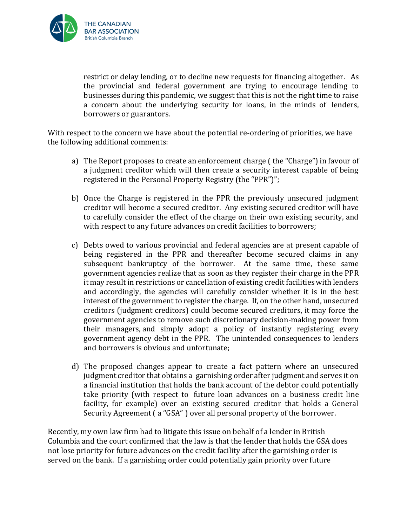

restrict or delay lending, or to decline new requests for financing altogether. As the provincial and federal government are trying to encourage lending to businesses during this pandemic, we suggest that this is not the right time to raise a concern about the underlying security for loans, in the minds of lenders, borrowers or guarantors.

With respect to the concern we have about the potential re-ordering of priorities, we have the following additional comments:

- a) The Report proposes to create an enforcement charge ( the "Charge") in favour of a judgment creditor which will then create a security interest capable of being registered in the Personal Property Registry (the "PPR")";
- b) Once the Charge is registered in the PPR the previously unsecured judgment creditor will become a secured creditor. Any existing secured creditor will have to carefully consider the effect of the charge on their own existing security, and with respect to any future advances on credit facilities to borrowers;
- c) Debts owed to various provincial and federal agencies are at present capable of being registered in the PPR and thereafter become secured claims in any subsequent bankruptcy of the borrower. At the same time, these same government agencies realize that as soon as they register their charge in the PPR it may result in restrictions or cancellation of existing credit facilities with lenders and accordingly, the agencies will carefully consider whether it is in the best interest of the government to register the charge. If, on the other hand, unsecured creditors (judgment creditors) could become secured creditors, it may force the government agencies to remove such discretionary decision-making power from their managers, and simply adopt a policy of instantly registering every government agency debt in the PPR. The unintended consequences to lenders and borrowers is obvious and unfortunate;
- d) The proposed changes appear to create a fact pattern where an unsecured judgment creditor that obtains a garnishing order after judgment and serves it on a financial institution that holds the bank account of the debtor could potentially take priority (with respect to future loan advances on a business credit line facility, for example) over an existing secured creditor that holds a General Security Agreement ( a "GSA" ) over all personal property of the borrower.

Recently, my own law firm had to litigate this issue on behalf of a lender in British Columbia and the court confirmed that the law is that the lender that holds the GSA does not lose priority for future advances on the credit facility after the garnishing order is served on the bank. If a garnishing order could potentially gain priority over future